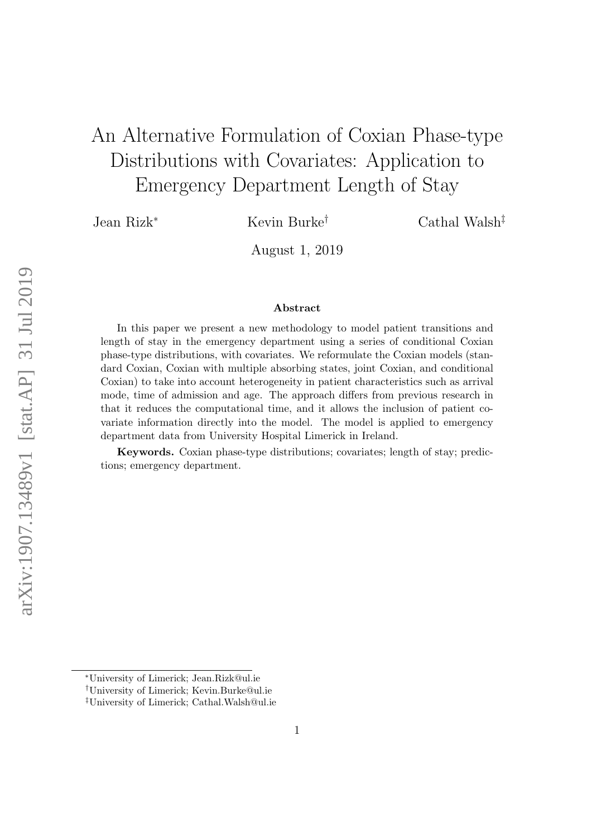# An Alternative Formulation of Coxian Phase-type Distributions with Covariates: Application to Emergency Department Length of Stay

Jean Rizk<sup>∗</sup> Kevin Burke† Cathal Walsh‡

August 1, 2019

#### Abstract

In this paper we present a new methodology to model patient transitions and length of stay in the emergency department using a series of conditional Coxian phase-type distributions, with covariates. We reformulate the Coxian models (standard Coxian, Coxian with multiple absorbing states, joint Coxian, and conditional Coxian) to take into account heterogeneity in patient characteristics such as arrival mode, time of admission and age. The approach differs from previous research in that it reduces the computational time, and it allows the inclusion of patient covariate information directly into the model. The model is applied to emergency department data from University Hospital Limerick in Ireland.

Keywords. Coxian phase-type distributions; covariates; length of stay; predictions; emergency department.

<sup>∗</sup>University of Limerick; Jean.Rizk@ul.ie

<sup>†</sup>University of Limerick; Kevin.Burke@ul.ie

<sup>‡</sup>University of Limerick; Cathal.Walsh@ul.ie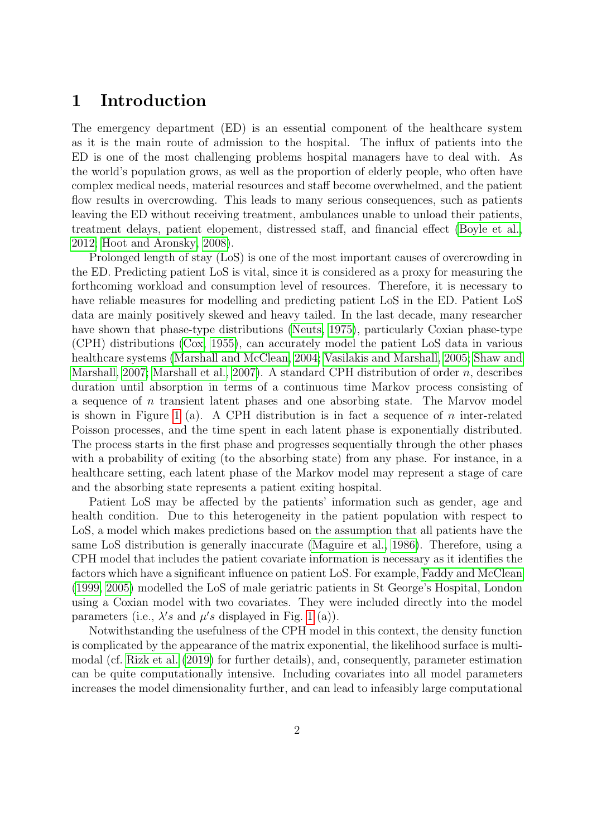## 1 Introduction

The emergency department (ED) is an essential component of the healthcare system as it is the main route of admission to the hospital. The influx of patients into the ED is one of the most challenging problems hospital managers have to deal with. As the world's population grows, as well as the proportion of elderly people, who often have complex medical needs, material resources and staff become overwhelmed, and the patient flow results in overcrowding. This leads to many serious consequences, such as patients leaving the ED without receiving treatment, ambulances unable to unload their patients, treatment delays, patient elopement, distressed staff, and financial effect [\(Boyle et al.,](#page-18-0) [2012;](#page-18-0) [Hoot and Aronsky, 2008\)](#page-19-0).

Prolonged length of stay (LoS) is one of the most important causes of overcrowding in the ED. Predicting patient LoS is vital, since it is considered as a proxy for measuring the forthcoming workload and consumption level of resources. Therefore, it is necessary to have reliable measures for modelling and predicting patient LoS in the ED. Patient LoS data are mainly positively skewed and heavy tailed. In the last decade, many researcher have shown that phase-type distributions [\(Neuts, 1975\)](#page-19-1), particularly Coxian phase-type (CPH) distributions [\(Cox, 1955\)](#page-18-1), can accurately model the patient LoS data in various healthcare systems [\(Marshall and McClean, 2004;](#page-19-2) [Vasilakis and Marshall, 2005;](#page-20-0) [Shaw and](#page-19-3) [Marshall, 2007;](#page-19-3) [Marshall et al., 2007\)](#page-19-4). A standard CPH distribution of order  $n$ , describes duration until absorption in terms of a continuous time Markov process consisting of a sequence of n transient latent phases and one absorbing state. The Marvov model is shown in Figure [1](#page-5-0) (a). A CPH distribution is in fact a sequence of n inter-related Poisson processes, and the time spent in each latent phase is exponentially distributed. The process starts in the first phase and progresses sequentially through the other phases with a probability of exiting (to the absorbing state) from any phase. For instance, in a healthcare setting, each latent phase of the Markov model may represent a stage of care and the absorbing state represents a patient exiting hospital.

Patient LoS may be affected by the patients' information such as gender, age and health condition. Due to this heterogeneity in the patient population with respect to LoS, a model which makes predictions based on the assumption that all patients have the same LoS distribution is generally inaccurate [\(Maguire et al., 1986\)](#page-19-5). Therefore, using a CPH model that includes the patient covariate information is necessary as it identifies the factors which have a significant influence on patient LoS. For example, [Faddy and McClean](#page-18-2) [\(1999,](#page-18-2) [2005\)](#page-18-3) modelled the LoS of male geriatric patients in St George's Hospital, London using a Coxian model with two covariates. They were included directly into the model parameters (i.e.,  $\lambda's$  and  $\mu's$  displayed in Fig. [1](#page-5-0) (a)).

Notwithstanding the usefulness of the CPH model in this context, the density function is complicated by the appearance of the matrix exponential, the likelihood surface is multimodal (cf. [Rizk et al.](#page-19-6) [\(2019\)](#page-19-6) for further details), and, consequently, parameter estimation can be quite computationally intensive. Including covariates into all model parameters increases the model dimensionality further, and can lead to infeasibly large computational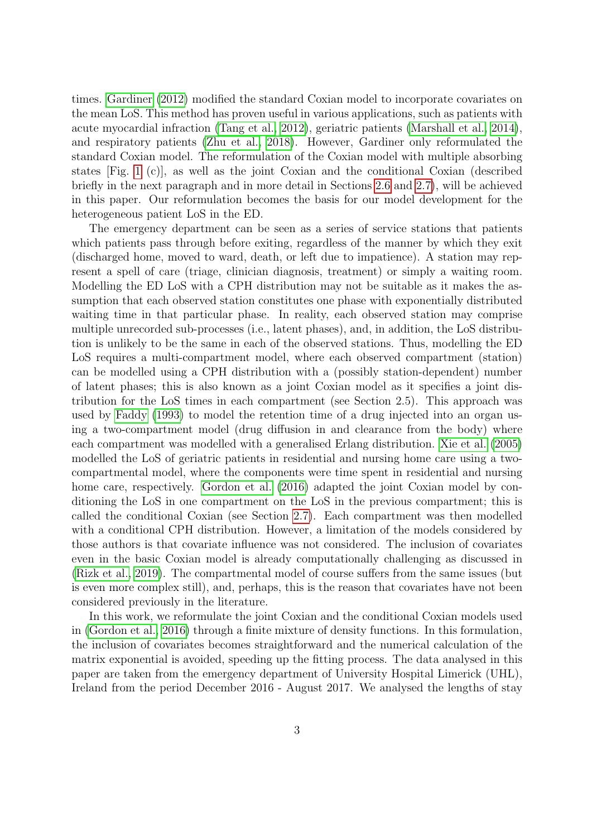times. [Gardiner](#page-18-4) [\(2012\)](#page-18-4) modified the standard Coxian model to incorporate covariates on the mean LoS. This method has proven useful in various applications, such as patients with acute myocardial infraction [\(Tang et al., 2012\)](#page-20-1), geriatric patients [\(Marshall et al., 2014\)](#page-19-7), and respiratory patients [\(Zhu et al., 2018\)](#page-20-2). However, Gardiner only reformulated the standard Coxian model. The reformulation of the Coxian model with multiple absorbing states [Fig. [1](#page-5-0) (c)], as well as the joint Coxian and the conditional Coxian (described briefly in the next paragraph and in more detail in Sections [2.6](#page-9-0) and [2.7\)](#page-11-0), will be achieved in this paper. Our reformulation becomes the basis for our model development for the heterogeneous patient LoS in the ED.

The emergency department can be seen as a series of service stations that patients which patients pass through before exiting, regardless of the manner by which they exit (discharged home, moved to ward, death, or left due to impatience). A station may represent a spell of care (triage, clinician diagnosis, treatment) or simply a waiting room. Modelling the ED LoS with a CPH distribution may not be suitable as it makes the assumption that each observed station constitutes one phase with exponentially distributed waiting time in that particular phase. In reality, each observed station may comprise multiple unrecorded sub-processes (i.e., latent phases), and, in addition, the LoS distribution is unlikely to be the same in each of the observed stations. Thus, modelling the ED LoS requires a multi-compartment model, where each observed compartment (station) can be modelled using a CPH distribution with a (possibly station-dependent) number of latent phases; this is also known as a joint Coxian model as it specifies a joint distribution for the LoS times in each compartment (see Section 2.5). This approach was used by [Faddy](#page-18-5) [\(1993\)](#page-18-5) to model the retention time of a drug injected into an organ using a two-compartment model (drug diffusion in and clearance from the body) where each compartment was modelled with a generalised Erlang distribution. [Xie et al.](#page-20-3) [\(2005\)](#page-20-3) modelled the LoS of geriatric patients in residential and nursing home care using a twocompartmental model, where the components were time spent in residential and nursing home care, respectively. [Gordon et al.](#page-19-8) [\(2016\)](#page-19-8) adapted the joint Coxian model by conditioning the LoS in one compartment on the LoS in the previous compartment; this is called the conditional Coxian (see Section [2.7\)](#page-11-0). Each compartment was then modelled with a conditional CPH distribution. However, a limitation of the models considered by those authors is that covariate influence was not considered. The inclusion of covariates even in the basic Coxian model is already computationally challenging as discussed in [\(Rizk et al., 2019\)](#page-19-6). The compartmental model of course suffers from the same issues (but is even more complex still), and, perhaps, this is the reason that covariates have not been considered previously in the literature.

In this work, we reformulate the joint Coxian and the conditional Coxian models used in [\(Gordon et al., 2016\)](#page-19-8) through a finite mixture of density functions. In this formulation, the inclusion of covariates becomes straightforward and the numerical calculation of the matrix exponential is avoided, speeding up the fitting process. The data analysed in this paper are taken from the emergency department of University Hospital Limerick (UHL), Ireland from the period December 2016 - August 2017. We analysed the lengths of stay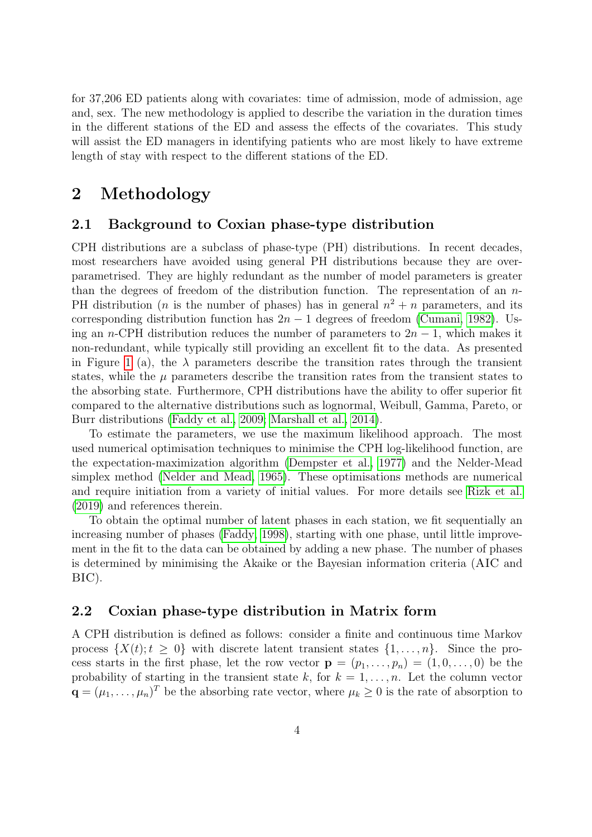for 37,206 ED patients along with covariates: time of admission, mode of admission, age and, sex. The new methodology is applied to describe the variation in the duration times in the different stations of the ED and assess the effects of the covariates. This study will assist the ED managers in identifying patients who are most likely to have extreme length of stay with respect to the different stations of the ED.

## 2 Methodology

#### 2.1 Background to Coxian phase-type distribution

CPH distributions are a subclass of phase-type (PH) distributions. In recent decades, most researchers have avoided using general PH distributions because they are overparametrised. They are highly redundant as the number of model parameters is greater than the degrees of freedom of the distribution function. The representation of an  $n$ -PH distribution (*n* is the number of phases) has in general  $n^2 + n$  parameters, and its corresponding distribution function has  $2n - 1$  degrees of freedom [\(Cumani, 1982\)](#page-18-6). Using an n-CPH distribution reduces the number of parameters to  $2n - 1$ , which makes it non-redundant, while typically still providing an excellent fit to the data. As presented in Figure [1](#page-5-0) (a), the  $\lambda$  parameters describe the transition rates through the transient states, while the  $\mu$  parameters describe the transition rates from the transient states to the absorbing state. Furthermore, CPH distributions have the ability to offer superior fit compared to the alternative distributions such as lognormal, Weibull, Gamma, Pareto, or Burr distributions [\(Faddy et al., 2009;](#page-18-7) [Marshall et al., 2014\)](#page-19-7).

To estimate the parameters, we use the maximum likelihood approach. The most used numerical optimisation techniques to minimise the CPH log-likelihood function, are the expectation-maximization algorithm [\(Dempster et al., 1977\)](#page-18-8) and the Nelder-Mead simplex method [\(Nelder and Mead, 1965\)](#page-19-9). These optimisations methods are numerical and require initiation from a variety of initial values. For more details see [Rizk et al.](#page-19-6) [\(2019\)](#page-19-6) and references therein.

To obtain the optimal number of latent phases in each station, we fit sequentially an increasing number of phases [\(Faddy, 1998\)](#page-18-9), starting with one phase, until little improvement in the fit to the data can be obtained by adding a new phase. The number of phases is determined by minimising the Akaike or the Bayesian information criteria (AIC and BIC).

#### <span id="page-3-0"></span>2.2 Coxian phase-type distribution in Matrix form

A CPH distribution is defined as follows: consider a finite and continuous time Markov process  $\{X(t);t \geq 0\}$  with discrete latent transient states  $\{1,\ldots,n\}$ . Since the process starts in the first phase, let the row vector  $\mathbf{p} = (p_1, \ldots, p_n) = (1, 0, \ldots, 0)$  be the probability of starting in the transient state k, for  $k = 1, \ldots, n$ . Let the column vector  $\mathbf{q} = (\mu_1, \dots, \mu_n)^T$  be the absorbing rate vector, where  $\mu_k \geq 0$  is the rate of absorption to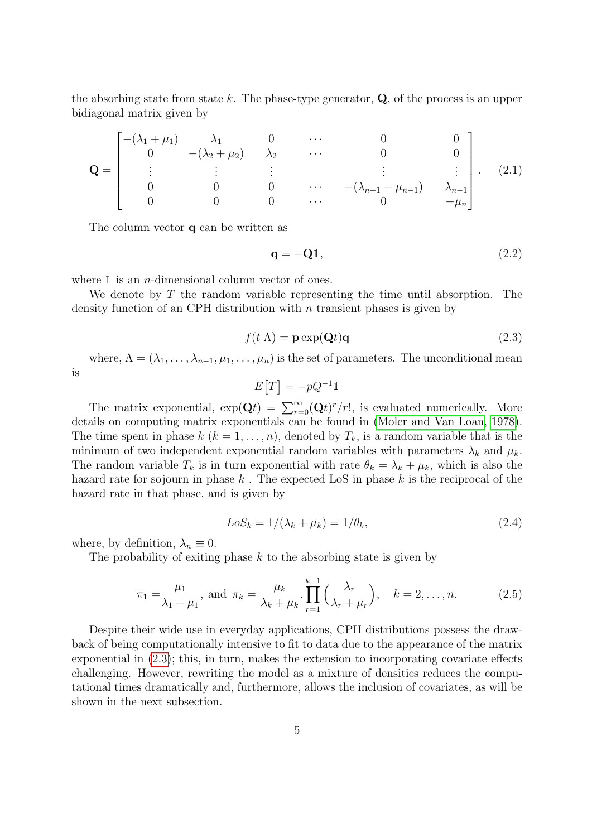the absorbing state from state k. The phase-type generator,  $Q$ , of the process is an upper bidiagonal matrix given by

$$
\mathbf{Q} = \begin{bmatrix} -(\lambda_1 + \mu_1) & \lambda_1 & 0 & \cdots & 0 & 0 \\ 0 & -(\lambda_2 + \mu_2) & \lambda_2 & \cdots & 0 & 0 \\ \vdots & \vdots & \vdots & & \vdots & \vdots \\ 0 & 0 & 0 & \cdots & -(\lambda_{n-1} + \mu_{n-1}) & \lambda_{n-1} \\ 0 & 0 & 0 & \cdots & 0 & -\mu_n \end{bmatrix} . \quad (2.1)
$$

The column vector q can be written as

<span id="page-4-3"></span>
$$
\mathbf{q} = -\mathbf{Q} \mathbb{1},\tag{2.2}
$$

where  $\mathbbm{1}$  is an *n*-dimensional column vector of ones.

We denote by  $T$  the random variable representing the time until absorption. The density function of an CPH distribution with  $n$  transient phases is given by

<span id="page-4-0"></span>
$$
f(t|\Lambda) = \mathbf{p} \exp(\mathbf{Q}t)\mathbf{q}
$$
 (2.3)

where,  $\Lambda = (\lambda_1, \ldots, \lambda_{n-1}, \mu_1, \ldots, \mu_n)$  is the set of parameters. The unconditional mean

is

$$
E[T] = -pQ^{-1}\mathbb{1}
$$

The matrix exponential,  $\exp(\mathbf{Q}t) = \sum_{r=0}^{\infty} (\mathbf{Q}t)^r/r!$ , is evaluated numerically. More details on computing matrix exponentials can be found in [\(Moler and Van Loan, 1978\)](#page-19-10). The time spent in phase  $k$   $(k = 1, \ldots, n)$ , denoted by  $T_k$ , is a random variable that is the minimum of two independent exponential random variables with parameters  $\lambda_k$  and  $\mu_k$ . The random variable  $T_k$  is in turn exponential with rate  $\theta_k = \lambda_k + \mu_k$ , which is also the hazard rate for sojourn in phase  $k$ . The expected LoS in phase  $k$  is the reciprocal of the hazard rate in that phase, and is given by

<span id="page-4-2"></span><span id="page-4-1"></span>
$$
LoS_k = 1/(\lambda_k + \mu_k) = 1/\theta_k,
$$
\n(2.4)

where, by definition,  $\lambda_n \equiv 0$ .

The probability of exiting phase  $k$  to the absorbing state is given by

$$
\pi_1 = \frac{\mu_1}{\lambda_1 + \mu_1}, \text{ and } \pi_k = \frac{\mu_k}{\lambda_k + \mu_k} \cdot \prod_{r=1}^{k-1} \left( \frac{\lambda_r}{\lambda_r + \mu_r} \right), \quad k = 2, \dots, n. \tag{2.5}
$$

Despite their wide use in everyday applications, CPH distributions possess the drawback of being computationally intensive to fit to data due to the appearance of the matrix exponential in [\(2.3\)](#page-4-0); this, in turn, makes the extension to incorporating covariate effects challenging. However, rewriting the model as a mixture of densities reduces the computational times dramatically and, furthermore, allows the inclusion of covariates, as will be shown in the next subsection.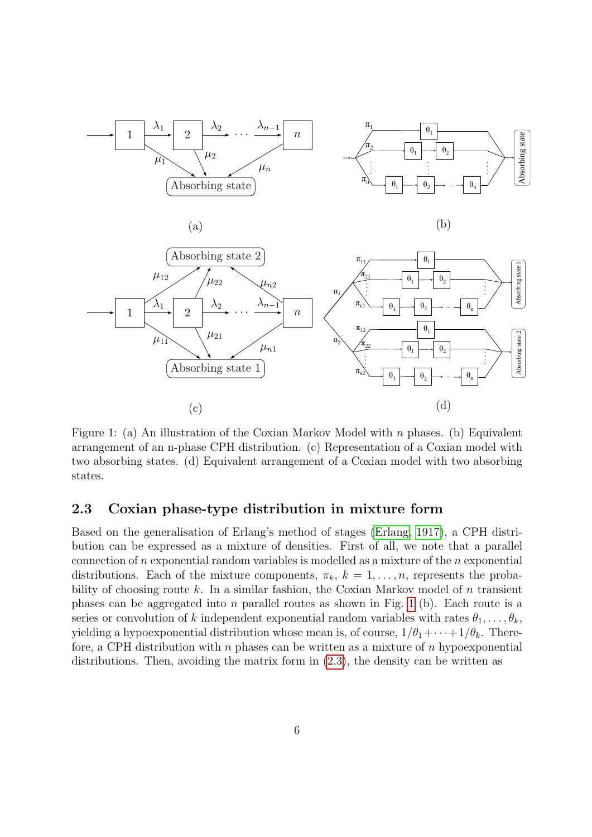





<span id="page-5-0"></span>

Figure 1: (a) An illustration of the Coxian Markov Model with  $n$  phases. (b) Equivalent arrangement of an n-phase CPH distribution. (c) Representation of a Coxian model with two absorbing states. (d) Equivalent arrangement of a Coxian model with two absorbing states.

### <span id="page-5-1"></span>2.3 Coxian phase-type distribution in mixture form

Based on the generalisation of Erlang's method of stages [\(Erlang, 1917\)](#page-18-10), a CPH distribution can be expressed as a mixture of densities. First of all, we note that a parallel connection of n exponential random variables is modelled as a mixture of the n exponential distributions. Each of the mixture components,  $\pi_k$ ,  $k = 1, \ldots, n$ , represents the probability of choosing route k. In a similar fashion, the Coxian Markov model of  $n$  transient phases can be aggregated into n parallel routes as shown in Fig. [1](#page-5-0) (b). Each route is a series or convolution of k independent exponential random variables with rates  $\theta_1, \ldots, \theta_k$ , yielding a hypoexponential distribution whose mean is, of course,  $1/\theta_1 + \cdots + 1/\theta_k$ . Therefore, a CPH distribution with n phases can be written as a mixture of n hypoexponential distributions. Then, avoiding the matrix form in [\(2.3\)](#page-4-0), the density can be written as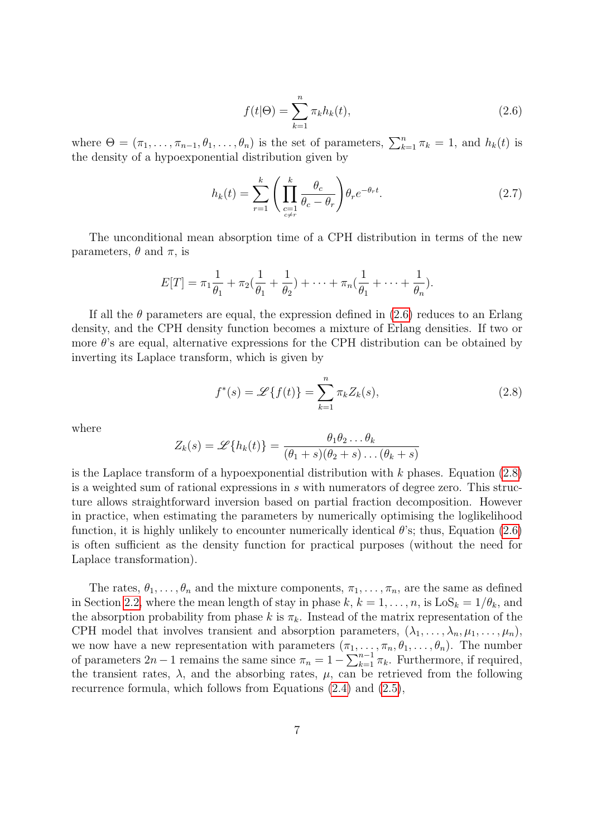<span id="page-6-0"></span>
$$
f(t|\Theta) = \sum_{k=1}^{n} \pi_k h_k(t),
$$
\n(2.6)

where  $\Theta = (\pi_1, \ldots, \pi_{n-1}, \theta_1, \ldots, \theta_n)$  is the set of parameters,  $\sum_{k=1}^n \pi_k = 1$ , and  $h_k(t)$  is the density of a hypoexponential distribution given by

<span id="page-6-2"></span>
$$
h_k(t) = \sum_{r=1}^k \left( \prod_{\substack{c=1\\c \neq r}}^k \frac{\theta_c}{\theta_c - \theta_r} \right) \theta_r e^{-\theta_r t}.
$$
 (2.7)

The unconditional mean absorption time of a CPH distribution in terms of the new parameters,  $\theta$  and  $\pi$ , is

$$
E[T] = \pi_1 \frac{1}{\theta_1} + \pi_2 \left( \frac{1}{\theta_1} + \frac{1}{\theta_2} \right) + \dots + \pi_n \left( \frac{1}{\theta_1} + \dots + \frac{1}{\theta_n} \right).
$$

If all the  $\theta$  parameters are equal, the expression defined in [\(2.6\)](#page-6-0) reduces to an Erlang density, and the CPH density function becomes a mixture of Erlang densities. If two or more  $\theta$ 's are equal, alternative expressions for the CPH distribution can be obtained by inverting its Laplace transform, which is given by

<span id="page-6-1"></span>
$$
f^*(s) = \mathcal{L}\{f(t)\} = \sum_{k=1}^n \pi_k Z_k(s),
$$
\n(2.8)

where

$$
Z_k(s) = \mathscr{L}{h_k(t)} = \frac{\theta_1 \theta_2 \dots \theta_k}{(\theta_1 + s)(\theta_2 + s) \dots (\theta_k + s)}
$$

is the Laplace transform of a hypoexponential distribution with  $k$  phases. Equation [\(2.8\)](#page-6-1) is a weighted sum of rational expressions in s with numerators of degree zero. This structure allows straightforward inversion based on partial fraction decomposition. However in practice, when estimating the parameters by numerically optimising the loglikelihood function, it is highly unlikely to encounter numerically identical  $\theta$ 's; thus, Equation [\(2.6\)](#page-6-0) is often sufficient as the density function for practical purposes (without the need for Laplace transformation).

The rates,  $\theta_1, \ldots, \theta_n$  and the mixture components,  $\pi_1, \ldots, \pi_n$ , are the same as defined in Section [2.2,](#page-3-0) where the mean length of stay in phase  $k, k = 1, \ldots, n$ , is  $\text{LoS}_k = 1/\theta_k$ , and the absorption probability from phase k is  $\pi_k$ . Instead of the matrix representation of the CPH model that involves transient and absorption parameters,  $(\lambda_1, \ldots, \lambda_n, \mu_1, \ldots, \mu_n)$ , we now have a new representation with parameters  $(\pi_1, \ldots, \pi_n, \theta_1, \ldots, \theta_n)$ . The number of parameters  $2n-1$  remains the same since  $\pi_n = 1 - \sum_{k=1}^{n-1} \pi_k$ . Furthermore, if required, the transient rates,  $\lambda$ , and the absorbing rates,  $\mu$ , can be retrieved from the following recurrence formula, which follows from Equations [\(2.4\)](#page-4-1) and [\(2.5\)](#page-4-2),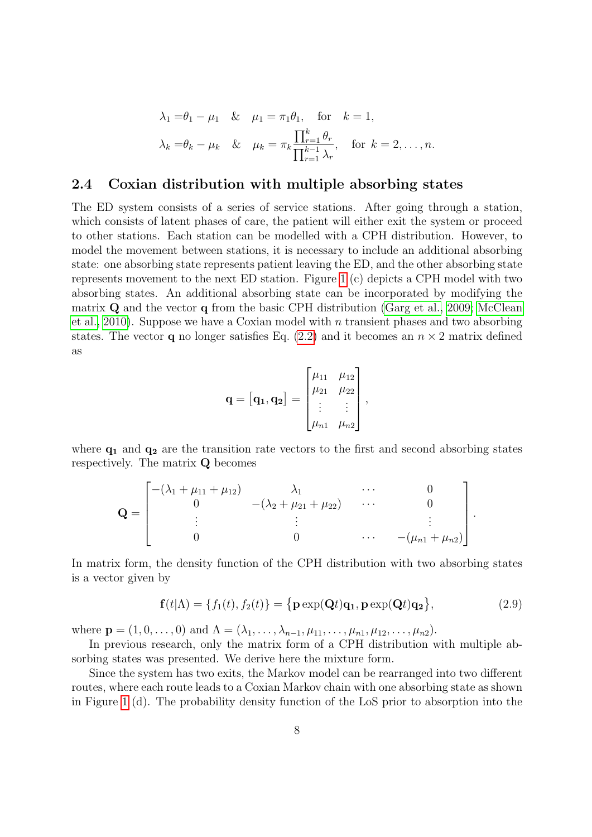$$
\lambda_1 = \theta_1 - \mu_1 \quad \& \quad \mu_1 = \pi_1 \theta_1, \quad \text{for} \quad k = 1,
$$
  

$$
\lambda_k = \theta_k - \mu_k \quad \& \quad \mu_k = \pi_k \frac{\prod_{r=1}^k \theta_r}{\prod_{r=1}^{k-1} \lambda_r}, \quad \text{for} \quad k = 2, \dots, n.
$$

#### <span id="page-7-0"></span>2.4 Coxian distribution with multiple absorbing states

The ED system consists of a series of service stations. After going through a station, which consists of latent phases of care, the patient will either exit the system or proceed to other stations. Each station can be modelled with a CPH distribution. However, to model the movement between stations, it is necessary to include an additional absorbing state: one absorbing state represents patient leaving the ED, and the other absorbing state represents movement to the next ED station. Figure [1](#page-5-0) (c) depicts a CPH model with two absorbing states. An additional absorbing state can be incorporated by modifying the matrix Q and the vector q from the basic CPH distribution [\(Garg et al., 2009;](#page-18-11) [McClean](#page-19-11) [et al., 2010\)](#page-19-11). Suppose we have a Coxian model with n transient phases and two absorbing states. The vector **q** no longer satisfies Eq.  $(2.2)$  and it becomes an  $n \times 2$  matrix defined as

$$
\mathbf{q} = [\mathbf{q_1}, \mathbf{q_2}] = \begin{bmatrix} \mu_{11} & \mu_{12} \\ \mu_{21} & \mu_{22} \\ \vdots & \vdots \\ \mu_{n1} & \mu_{n2} \end{bmatrix},
$$

where  $q_1$  and  $q_2$  are the transition rate vectors to the first and second absorbing states respectively. The matrix Q becomes

$$
\mathbf{Q} = \begin{bmatrix} -(\lambda_1 + \mu_{11} + \mu_{12}) & \lambda_1 & \cdots & 0 \\ 0 & -(\lambda_2 + \mu_{21} + \mu_{22}) & \cdots & 0 \\ \vdots & \vdots & & \vdots \\ 0 & 0 & \cdots & -(\mu_{n1} + \mu_{n2}) \end{bmatrix}.
$$

In matrix form, the density function of the CPH distribution with two absorbing states is a vector given by

$$
\mathbf{f}(t|\Lambda) = \{f_1(t), f_2(t)\} = \{\mathbf{p} \exp(\mathbf{Q}t)\mathbf{q_1}, \mathbf{p} \exp(\mathbf{Q}t)\mathbf{q_2}\},\tag{2.9}
$$

where  $\mathbf{p} = (1, 0, \ldots, 0)$  and  $\Lambda = (\lambda_1, \ldots, \lambda_{n-1}, \mu_{11}, \ldots, \mu_{n1}, \mu_{12}, \ldots, \mu_{n2}).$ 

In previous research, only the matrix form of a CPH distribution with multiple absorbing states was presented. We derive here the mixture form.

Since the system has two exits, the Markov model can be rearranged into two different routes, where each route leads to a Coxian Markov chain with one absorbing state as shown in Figure [1](#page-5-0) (d). The probability density function of the LoS prior to absorption into the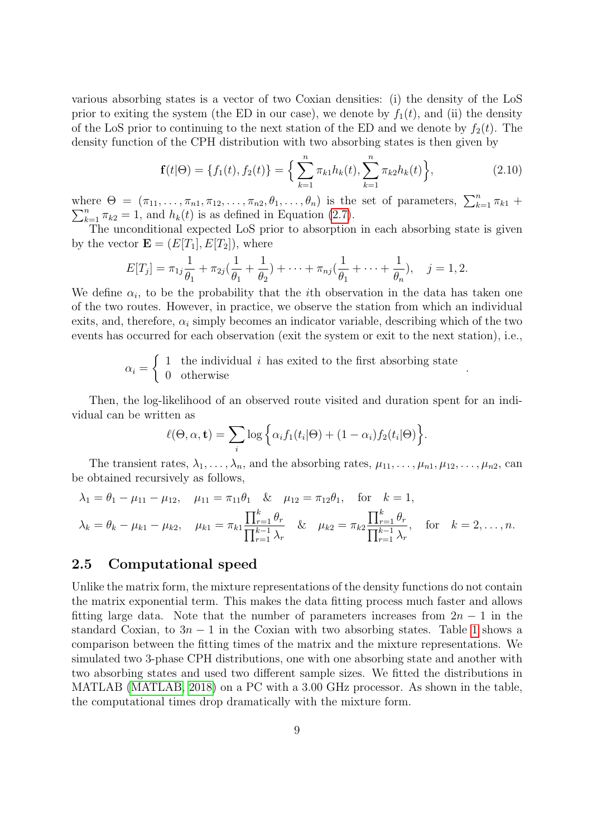various absorbing states is a vector of two Coxian densities: (i) the density of the LoS prior to exiting the system (the ED in our case), we denote by  $f_1(t)$ , and (ii) the density of the LoS prior to continuing to the next station of the ED and we denote by  $f_2(t)$ . The density function of the CPH distribution with two absorbing states is then given by

<span id="page-8-0"></span>
$$
\mathbf{f}(t|\Theta) = \{f_1(t), f_2(t)\} = \left\{\sum_{k=1}^n \pi_{k1} h_k(t), \sum_{k=1}^n \pi_{k2} h_k(t)\right\},\tag{2.10}
$$

where  $\Theta = (\pi_{11}, \ldots, \pi_{n1}, \pi_{12}, \ldots, \pi_{n2}, \theta_1, \ldots, \theta_n)$  is the set of parameters,  $\sum_{k=1}^n \pi_{k1}$  +  $\sum_{k=1}^{n} \pi_{k2} = 1$ , and  $h_k(t)$  is as defined in Equation [\(2.7\)](#page-6-2).

The unconditional expected LoS prior to absorption in each absorbing state is given by the vector  $\mathbf{E} = (E[T_1], E[T_2])$ , where

$$
E[T_j] = \pi_{1j} \frac{1}{\theta_1} + \pi_{2j} (\frac{1}{\theta_1} + \frac{1}{\theta_2}) + \cdots + \pi_{nj} (\frac{1}{\theta_1} + \cdots + \frac{1}{\theta_n}), \quad j = 1, 2.
$$

We define  $\alpha_i$ , to be the probability that the *i*th observation in the data has taken one of the two routes. However, in practice, we observe the station from which an individual exits, and, therefore,  $\alpha_i$  simply becomes an indicator variable, describing which of the two events has occurred for each observation (exit the system or exit to the next station), i.e.,

$$
\alpha_i = \left\{ \begin{array}{ll} 1 & \text{the individual } i \text{ has exited to the first absorbing state} \\ 0 & \text{otherwise} \end{array} \right. .
$$

Then, the log-likelihood of an observed route visited and duration spent for an individual can be written as

$$
\ell(\Theta,\alpha,\mathbf{t}) = \sum_{i} \log \Big\{ \alpha_i f_1(t_i|\Theta) + (1-\alpha_i) f_2(t_i|\Theta) \Big\}.
$$

The transient rates,  $\lambda_1, \ldots, \lambda_n$ , and the absorbing rates,  $\mu_{11}, \ldots, \mu_{n1}, \mu_{12}, \ldots, \mu_{n2}$ , can be obtained recursively as follows,

$$
\lambda_1 = \theta_1 - \mu_{11} - \mu_{12}, \quad \mu_{11} = \pi_{11}\theta_1 \quad \& \quad \mu_{12} = \pi_{12}\theta_1, \quad \text{for} \quad k = 1,
$$
\n
$$
\lambda_k = \theta_k - \mu_{k1} - \mu_{k2}, \quad \mu_{k1} = \pi_{k1} \frac{\prod_{r=1}^k \theta_r}{\prod_{r=1}^{k-1} \lambda_r} \quad \& \quad \mu_{k2} = \pi_{k2} \frac{\prod_{r=1}^k \theta_r}{\prod_{r=1}^{k-1} \lambda_r}, \quad \text{for} \quad k = 2, \dots, n.
$$

#### 2.5 Computational speed

Unlike the matrix form, the mixture representations of the density functions do not contain the matrix exponential term. This makes the data fitting process much faster and allows fitting large data. Note that the number of parameters increases from  $2n - 1$  in the standard Coxian, to  $3n - 1$  $3n - 1$  in the Coxian with two absorbing states. Table 1 shows a comparison between the fitting times of the matrix and the mixture representations. We simulated two 3-phase CPH distributions, one with one absorbing state and another with two absorbing states and used two different sample sizes. We fitted the distributions in MATLAB [\(MATLAB, 2018\)](#page-19-12) on a PC with a 3.00 GHz processor. As shown in the table, the computational times drop dramatically with the mixture form.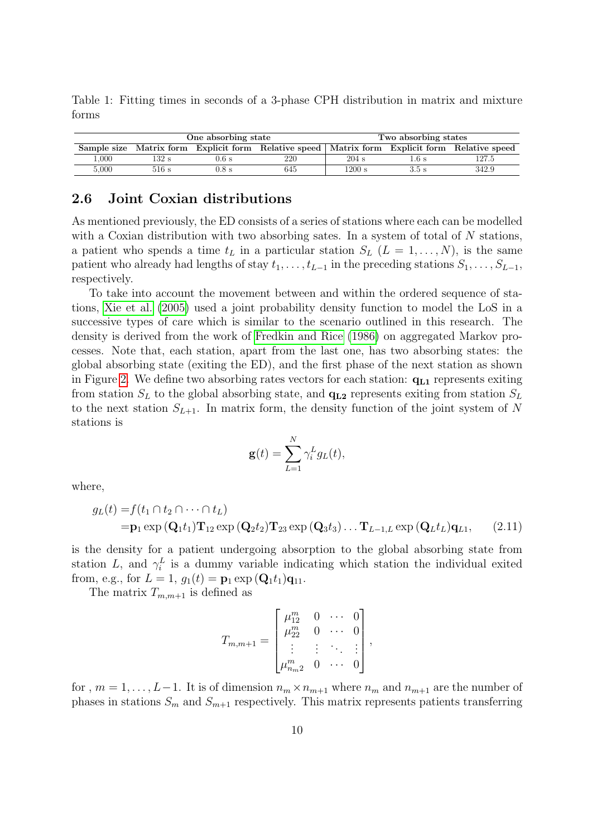<span id="page-9-1"></span>Table 1: Fitting times in seconds of a 3-phase CPH distribution in matrix and mixture forms

|       |       | One absorbing state | Two absorbing states                                                                            |         |        |       |
|-------|-------|---------------------|-------------------------------------------------------------------------------------------------|---------|--------|-------|
|       |       |                     | Sample size Matrix form Explicit form Relative speed   Matrix form Explicit form Relative speed |         |        |       |
| 000.1 | 132 s | $0.6$ s             | 220                                                                                             | $204$ s | l .6 s | 127.5 |
| 5.000 | 516 s | $0.8$ s             | 645                                                                                             | 1200 s  | 3.5 s  | 342.9 |

### <span id="page-9-0"></span>2.6 Joint Coxian distributions

As mentioned previously, the ED consists of a series of stations where each can be modelled with a Coxian distribution with two absorbing sates. In a system of total of N stations, a patient who spends a time  $t_L$  in a particular station  $S_L$   $(L = 1, ..., N)$ , is the same patient who already had lengths of stay  $t_1, \ldots, t_{L-1}$  in the preceding stations  $S_1, \ldots, S_{L-1}$ , respectively.

To take into account the movement between and within the ordered sequence of stations, [Xie et al.](#page-20-3) [\(2005\)](#page-20-3) used a joint probability density function to model the LoS in a successive types of care which is similar to the scenario outlined in this research. The density is derived from the work of [Fredkin and Rice](#page-18-12) [\(1986\)](#page-18-12) on aggregated Markov processes. Note that, each station, apart from the last one, has two absorbing states: the global absorbing state (exiting the ED), and the first phase of the next station as shown in Figure [2.](#page-10-0) We define two absorbing rates vectors for each station:  $q_{L1}$  represents exiting from station  $S_L$  to the global absorbing state, and  $q_{L2}$  represents exiting from station  $S_L$ to the next station  $S_{L+1}$ . In matrix form, the density function of the joint system of N stations is

<span id="page-9-2"></span>
$$
\mathbf{g}(t) = \sum_{L=1}^{N} \gamma_i^L g_L(t),
$$

where,

$$
g_L(t) = f(t_1 \cap t_2 \cap \cdots \cap t_L)
$$
  
=  $\mathbf{p}_1 \exp(\mathbf{Q}_1 t_1) \mathbf{T}_{12} \exp(\mathbf{Q}_2 t_2) \mathbf{T}_{23} \exp(\mathbf{Q}_3 t_3) \dots \mathbf{T}_{L-1,L} \exp(\mathbf{Q}_L t_L) \mathbf{q}_{L1},$  (2.11)

is the density for a patient undergoing absorption to the global absorbing state from station L, and  $\gamma_i^L$  is a dummy variable indicating which station the individual exited from, e.g., for  $L = 1$ ,  $g_1(t) = \mathbf{p}_1 \exp{(\mathbf{Q}_1 t_1)}\mathbf{q}_{11}$ .

The matrix  $T_{m,m+1}$  is defined as

$$
T_{m,m+1} = \begin{bmatrix} \mu_{12}^m & 0 & \cdots & 0 \\ \mu_{22}^m & 0 & \cdots & 0 \\ \vdots & \vdots & \ddots & \vdots \\ \mu_{n_m2}^m & 0 & \cdots & 0 \end{bmatrix},
$$

for,  $m = 1, \ldots, L-1$ . It is of dimension  $n_m \times n_{m+1}$  where  $n_m$  and  $n_{m+1}$  are the number of phases in stations  $S_m$  and  $S_{m+1}$  respectively. This matrix represents patients transferring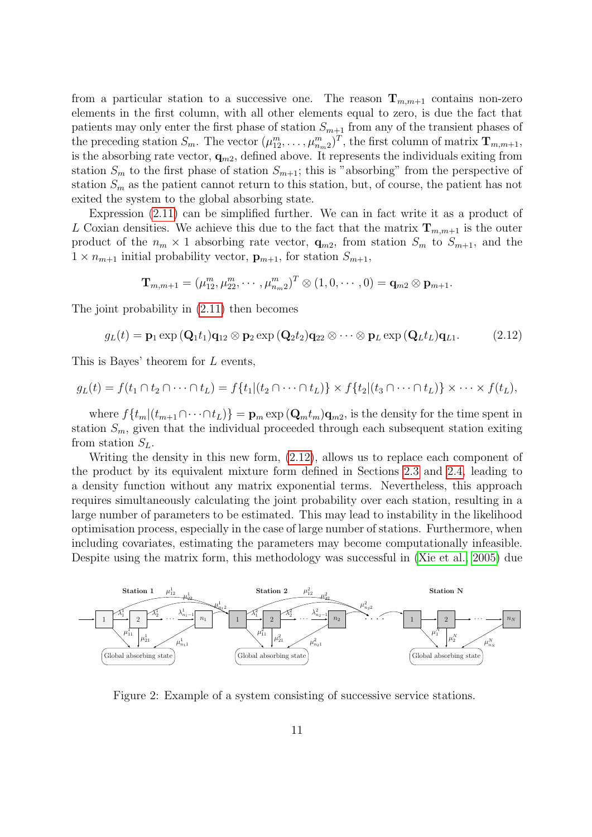from a particular station to a successive one. The reason  $\mathbf{T}_{m,m+1}$  contains non-zero elements in the first column, with all other elements equal to zero, is due the fact that patients may only enter the first phase of station  $S_{m+1}$  from any of the transient phases of the preceding station  $S_m$ . The vector  $(\mu_{12}^m, \ldots, \mu_{n_m2}^m)^T$ , the first column of matrix  $\mathbf{T}_{m,m+1}$ , is the absorbing rate vector,  $\mathbf{q}_{m2}$ , defined above. It represents the individuals exiting from station  $S_m$  to the first phase of station  $S_{m+1}$ ; this is "absorbing" from the perspective of station  $S_m$  as the patient cannot return to this station, but, of course, the patient has not exited the system to the global absorbing state.

Expression [\(2.11\)](#page-9-2) can be simplified further. We can in fact write it as a product of L Coxian densities. We achieve this due to the fact that the matrix  $\mathbf{T}_{m,m+1}$  is the outer product of the  $n_m \times 1$  absorbing rate vector,  $\mathbf{q}_{m2}$ , from station  $S_m$  to  $S_{m+1}$ , and the  $1 \times n_{m+1}$  initial probability vector,  $\mathbf{p}_{m+1}$ , for station  $S_{m+1}$ ,

<span id="page-10-1"></span>
$$
\mathbf{T}_{m,m+1}=(\mu_{12}^m,\mu_{22}^m,\cdots,\mu_{n_m2}^m)^T\otimes(1,0,\cdots,0)=\mathbf{q}_{m2}\otimes\mathbf{p}_{m+1}.
$$

The joint probability in [\(2.11\)](#page-9-2) then becomes

$$
g_L(t) = \mathbf{p}_1 \exp\left(\mathbf{Q}_1 t_1\right) \mathbf{q}_{12} \otimes \mathbf{p}_2 \exp\left(\mathbf{Q}_2 t_2\right) \mathbf{q}_{22} \otimes \cdots \otimes \mathbf{p}_L \exp\left(\mathbf{Q}_L t_L\right) \mathbf{q}_{L1}.
$$
 (2.12)

This is Bayes' theorem for L events,

$$
g_L(t) = f(t_1 \cap t_2 \cap \cdots \cap t_L) = f\{t_1 | (t_2 \cap \cdots \cap t_L)\} \times f\{t_2 | (t_3 \cap \cdots \cap t_L)\} \times \cdots \times f(t_L),
$$

where  $f\{t_m|(t_{m+1}\cap\cdots\cap t_L)\} = \mathbf{p}_m \exp(\mathbf{Q}_m t_m)\mathbf{q}_{m2}$ , is the density for the time spent in station  $S_m$ , given that the individual proceeded through each subsequent station exiting from station  $S_L$ .

Writing the density in this new form, [\(2.12\)](#page-10-1), allows us to replace each component of the product by its equivalent mixture form defined in Sections [2.3](#page-5-1) and [2.4,](#page-7-0) leading to a density function without any matrix exponential terms. Nevertheless, this approach requires simultaneously calculating the joint probability over each station, resulting in a large number of parameters to be estimated. This may lead to instability in the likelihood optimisation process, especially in the case of large number of stations. Furthermore, when including covariates, estimating the parameters may become computationally infeasible. Despite using the matrix form, this methodology was successful in [\(Xie et al., 2005\)](#page-20-3) due

<span id="page-10-0"></span>

Figure 2: Example of a system consisting of successive service stations.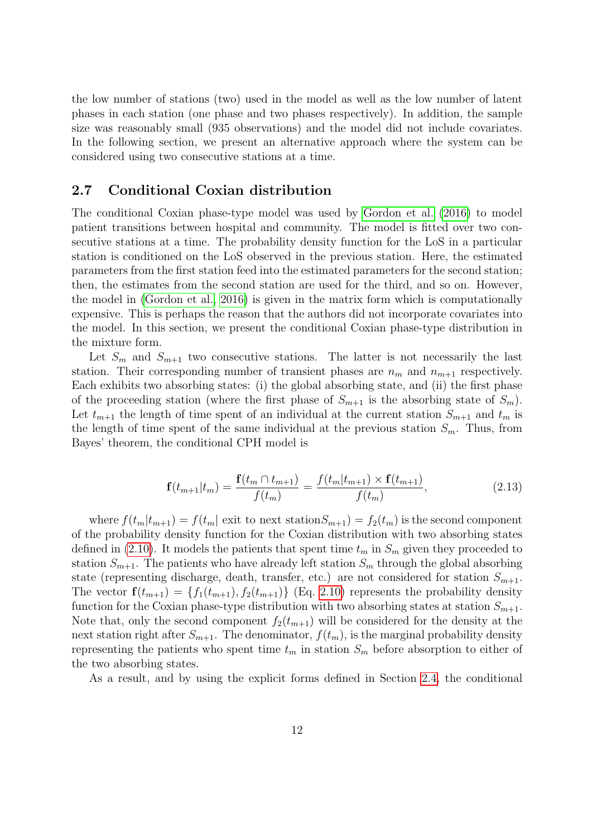the low number of stations (two) used in the model as well as the low number of latent phases in each station (one phase and two phases respectively). In addition, the sample size was reasonably small (935 observations) and the model did not include covariates. In the following section, we present an alternative approach where the system can be considered using two consecutive stations at a time.

#### <span id="page-11-0"></span>2.7 Conditional Coxian distribution

The conditional Coxian phase-type model was used by [Gordon et al.](#page-19-8) [\(2016\)](#page-19-8) to model patient transitions between hospital and community. The model is fitted over two consecutive stations at a time. The probability density function for the LoS in a particular station is conditioned on the LoS observed in the previous station. Here, the estimated parameters from the first station feed into the estimated parameters for the second station; then, the estimates from the second station are used for the third, and so on. However, the model in [\(Gordon et al., 2016\)](#page-19-8) is given in the matrix form which is computationally expensive. This is perhaps the reason that the authors did not incorporate covariates into the model. In this section, we present the conditional Coxian phase-type distribution in the mixture form.

Let  $S_m$  and  $S_{m+1}$  two consecutive stations. The latter is not necessarily the last station. Their corresponding number of transient phases are  $n_m$  and  $n_{m+1}$  respectively. Each exhibits two absorbing states: (i) the global absorbing state, and (ii) the first phase of the proceeding station (where the first phase of  $S_{m+1}$  is the absorbing state of  $S_m$ ). Let  $t_{m+1}$  the length of time spent of an individual at the current station  $S_{m+1}$  and  $t_m$  is the length of time spent of the same individual at the previous station  $S_m$ . Thus, from Bayes' theorem, the conditional CPH model is

<span id="page-11-1"></span>
$$
\mathbf{f}(t_{m+1}|t_m) = \frac{\mathbf{f}(t_m \cap t_{m+1})}{f(t_m)} = \frac{f(t_m|t_{m+1}) \times \mathbf{f}(t_{m+1})}{f(t_m)},
$$
\n(2.13)

where  $f(t_m|t_{m+1}) = f(t_m)$  exit to next station  $S_{m+1} = f_2(t_m)$  is the second component of the probability density function for the Coxian distribution with two absorbing states defined in [\(2.10\)](#page-8-0). It models the patients that spent time  $t_m$  in  $S_m$  given they proceeded to station  $S_{m+1}$ . The patients who have already left station  $S_m$  through the global absorbing state (representing discharge, death, transfer, etc.) are not considered for station  $S_{m+1}$ . The vector  $\mathbf{f}(t_{m+1}) = \{f_1(t_{m+1}), f_2(t_{m+1})\}$  (Eq. [2.10\)](#page-8-0) represents the probability density function for the Coxian phase-type distribution with two absorbing states at station  $S_{m+1}$ . Note that, only the second component  $f_2(t_{m+1})$  will be considered for the density at the next station right after  $S_{m+1}$ . The denominator,  $f(t_m)$ , is the marginal probability density representing the patients who spent time  $t_m$  in station  $S_m$  before absorption to either of the two absorbing states.

As a result, and by using the explicit forms defined in Section [2.4,](#page-7-0) the conditional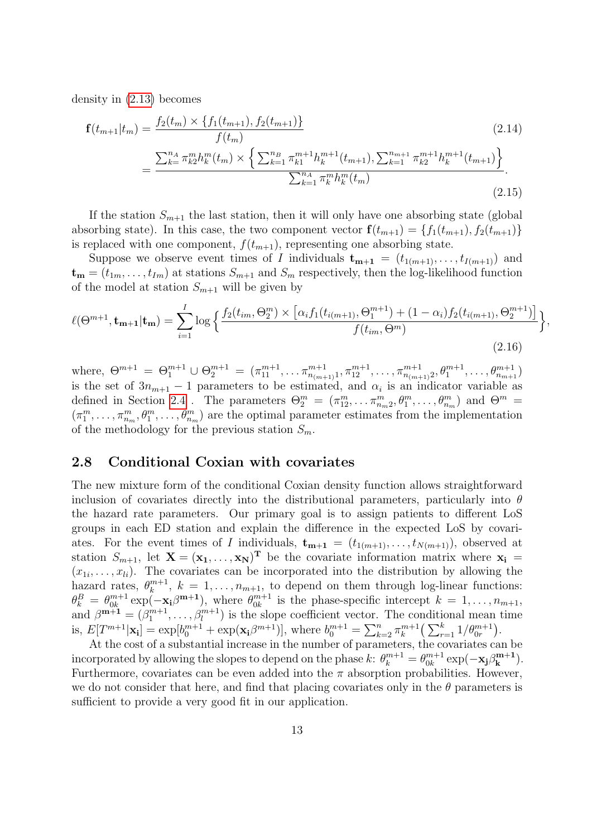density in [\(2.13\)](#page-11-1) becomes

$$
\mathbf{f}(t_{m+1}|t_m) = \frac{f_2(t_m) \times \{f_1(t_{m+1}), f_2(t_{m+1})\}}{f(t_m)} \tag{2.14}
$$
\n
$$
= \frac{\sum_{k=1}^{n_A} \pi_{k2}^m h_k^m(t_m) \times \left\{\sum_{k=1}^{n_B} \pi_{k1}^{m+1} h_k^{m+1}(t_{m+1}), \sum_{k=1}^{n_{m+1}} \pi_{k2}^{m+1} h_k^{m+1}(t_{m+1})\right\}}{\sum_{k=1}^{n_A} \pi_k^m h_k^m(t_m)} \tag{2.15}
$$

If the station  $S_{m+1}$  the last station, then it will only have one absorbing state (global absorbing state). In this case, the two component vector  $f(t_{m+1}) = \{f_1(t_{m+1}), f_2(t_{m+1})\}$ is replaced with one component,  $f(t_{m+1})$ , representing one absorbing state.

Suppose we observe event times of I individuals  $\mathbf{t}_{m+1} = (t_{1(m+1)}, \ldots, t_{I(m+1)})$  and  $\mathbf{t}_{m} = (t_{1m}, \ldots, t_{Im})$  at stations  $S_{m+1}$  and  $S_m$  respectively, then the log-likelihood function of the model at station  $S_{m+1}$  will be given by

$$
\ell(\Theta^{m+1}, \mathbf{t}_{m+1}|\mathbf{t}_m) = \sum_{i=1}^{I} \log \left\{ \frac{f_2(t_{im}, \Theta_2^m) \times \left[ \alpha_i f_1(t_{i(m+1)}, \Theta_1^{m+1}) + (1 - \alpha_i) f_2(t_{i(m+1)}, \Theta_2^{m+1}) \right]}{f(t_{im}, \Theta^m)} \right\},\tag{2.16}
$$

where,  $\Theta^{m+1} = \Theta_1^{m+1} \cup \Theta_2^{m+1} = (\pi_{11}^{m+1}, \ldots \pi_{n_{(m+1)}1}^{m+1}, \pi_{12}^{m+1}, \ldots, \pi_{n_{(m+1)}2}^{m+1}, \theta_1^{m+1}, \ldots, \theta_{n_{m+1}}^{m+1})$ is the set of  $3n_{m+1} - 1$  parameters to be estimated, and  $\alpha_i$  is an indicator variable as defined in Section [2.4](#page-7-0). The parameters  $\Theta_2^m = (\pi_{12}^m, \ldots, \pi_{n_m2}^m, \theta_1^m, \ldots, \theta_{n_m}^m)$  and  $\Theta^m =$  $(\pi_1^m,\ldots,\pi_{n_m}^m,\theta_1^m,\ldots,\theta_{n_m}^m)$  are the optimal parameter estimates from the implementation of the methodology for the previous station  $S_m$ .

#### 2.8 Conditional Coxian with covariates

The new mixture form of the conditional Coxian density function allows straightforward inclusion of covariates directly into the distributional parameters, particularly into  $\theta$ the hazard rate parameters. Our primary goal is to assign patients to different LoS groups in each ED station and explain the difference in the expected LoS by covariates. For the event times of I individuals,  $\mathbf{t}_{m+1} = (t_{1(m+1)}, \ldots, t_{N(m+1)})$ , observed at station  $S_{m+1}$ , let  $X = (x_1, \ldots, x_N)^T$  be the covariate information matrix where  $x_i =$  $(x_{1i},\ldots,x_{li})$ . The covariates can be incorporated into the distribution by allowing the hazard rates,  $\theta_k^{m+1}$  $k_k^{m+1}, k = 1, \ldots, n_{m+1}$ , to depend on them through log-linear functions:  $\theta_k^B = \theta_{0k}^{m+1}$  ${}_{0k}^{m+1}$  exp( $-\mathbf{x_i}\beta^{m+1}$ ), where  $\theta_{0k}^{m+1}$  $\substack{m+1 \ 0k}$  is the phase-specific intercept  $k = 1, \ldots, n_{m+1}$ , and  $\beta^{m+1} = (\beta_1^{m+1}, \dots, \beta_l^{m+1})$  is the slope coefficient vector. The conditional mean time is,  $E[T^{m+1}|\mathbf{x_i}] = \exp[b_0^{m+1} + \exp(\mathbf{x_i}\beta^{m+1})],$  where  $b_0^{m+1} = \sum_{k=2}^n \pi_k^{m+1}$  $\binom{m+1}{k} \left( \sum_{r=1}^k 1/\theta_{0r}^{m+1} \right).$ 

At the cost of a substantial increase in the number of parameters, the covariates can be incorporated by allowing the slopes to depend on the phase  $k$ :  $\theta_k^{m+1} = \theta_{0k}^{m+1}$  $\log_{0k}^{m+1}\exp(-\mathbf{x_j}\beta_{\mathbf{k}}^{\mathbf{m}+\mathbf{1}})$  $\binom{m+1}{k}$ . Furthermore, covariates can be even added into the  $\pi$  absorption probabilities. However, we do not consider that here, and find that placing covariates only in the  $\theta$  parameters is sufficient to provide a very good fit in our application.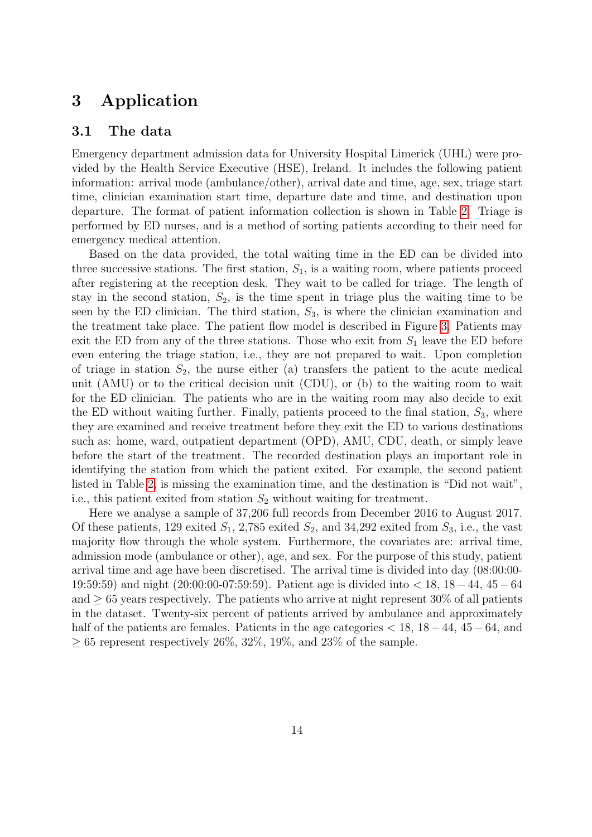## 3 Application

#### 3.1 The data

Emergency department admission data for University Hospital Limerick (UHL) were provided by the Health Service Executive (HSE), Ireland. It includes the following patient information: arrival mode (ambulance/other), arrival date and time, age, sex, triage start time, clinician examination start time, departure date and time, and destination upon departure. The format of patient information collection is shown in Table [2.](#page-14-0) Triage is performed by ED nurses, and is a method of sorting patients according to their need for emergency medical attention.

Based on the data provided, the total waiting time in the ED can be divided into three successive stations. The first station,  $S_1$ , is a waiting room, where patients proceed after registering at the reception desk. They wait to be called for triage. The length of stay in the second station,  $S_2$ , is the time spent in triage plus the waiting time to be seen by the ED clinician. The third station,  $S_3$ , is where the clinician examination and the treatment take place. The patient flow model is described in Figure [3.](#page-14-1) Patients may exit the ED from any of the three stations. Those who exit from  $S_1$  leave the ED before even entering the triage station, i.e., they are not prepared to wait. Upon completion of triage in station  $S_2$ , the nurse either (a) transfers the patient to the acute medical unit (AMU) or to the critical decision unit (CDU), or (b) to the waiting room to wait for the ED clinician. The patients who are in the waiting room may also decide to exit the ED without waiting further. Finally, patients proceed to the final station,  $S_3$ , where they are examined and receive treatment before they exit the ED to various destinations such as: home, ward, outpatient department (OPD), AMU, CDU, death, or simply leave before the start of the treatment. The recorded destination plays an important role in identifying the station from which the patient exited. For example, the second patient listed in Table [2,](#page-14-0) is missing the examination time, and the destination is "Did not wait", i.e., this patient exited from station  $S_2$  without waiting for treatment.

Here we analyse a sample of 37,206 full records from December 2016 to August 2017. Of these patients, 129 exited  $S_1$ , 2,785 exited  $S_2$ , and 34,292 exited from  $S_3$ , i.e., the vast majority flow through the whole system. Furthermore, the covariates are: arrival time, admission mode (ambulance or other), age, and sex. For the purpose of this study, patient arrival time and age have been discretised. The arrival time is divided into day (08:00:00- 19:59:59) and night (20:00:00-07:59:59). Patient age is divided into < 18, 18−44, 45−64 and  $\geq 65$  years respectively. The patients who arrive at night represent 30% of all patients in the dataset. Twenty-six percent of patients arrived by ambulance and approximately half of the patients are females. Patients in the age categories  $< 18$ ,  $18 - 44$ ,  $45 - 64$ , and  $\geq 65$  represent respectively 26\%, 32\%, 19\%, and 23\% of the sample.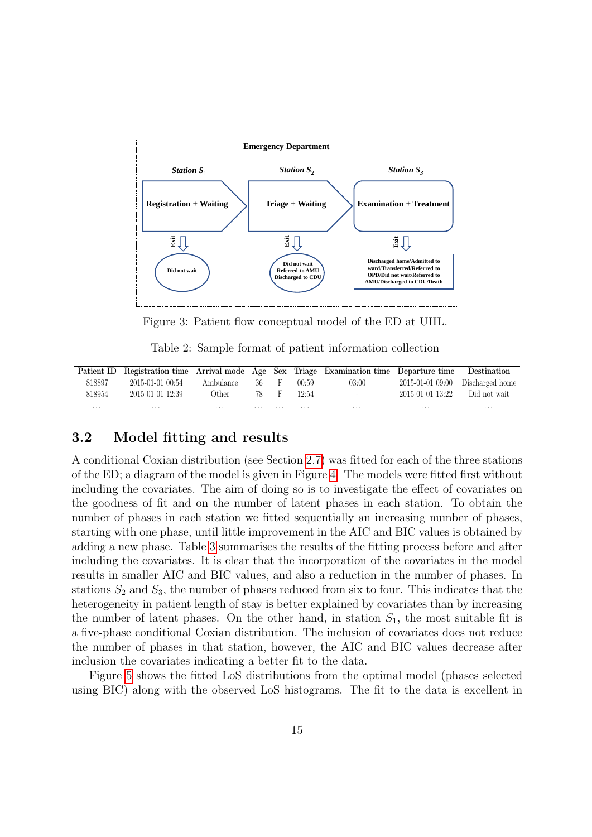<span id="page-14-1"></span>

Figure 3: Patient flow conceptual model of the ED at UHL.

Table 2: Sample format of patient information collection

<span id="page-14-0"></span>

|        |                  |           |          |   |       | Patient ID Registration time Arrival mode Age Sex Triage Examination time Departure time |                  | Destination                        |
|--------|------------------|-----------|----------|---|-------|------------------------------------------------------------------------------------------|------------------|------------------------------------|
| 818897 | 2015-01-01 00:54 | Ambulance | $36$ F   |   | 00:59 | 03:00                                                                                    |                  | $2015-01-01$ 09:00 Discharged home |
| 818954 | 2015-01-01 12:39 | Other     | 78.      | F | 12.54 | $\overline{\phantom{0}}$                                                                 | 2015-01-01 13:22 | Did not wait                       |
| .      | .                | $\cdots$  | $\cdots$ | . | .     | .                                                                                        | $\cdots$         | $\cdots$                           |

#### 3.2 Model fitting and results

A conditional Coxian distribution (see Section [2.7\)](#page-11-0) was fitted for each of the three stations of the ED; a diagram of the model is given in Figure [4.](#page-15-0) The models were fitted first without including the covariates. The aim of doing so is to investigate the effect of covariates on the goodness of fit and on the number of latent phases in each station. To obtain the number of phases in each station we fitted sequentially an increasing number of phases, starting with one phase, until little improvement in the AIC and BIC values is obtained by adding a new phase. Table [3](#page-15-1) summarises the results of the fitting process before and after including the covariates. It is clear that the incorporation of the covariates in the model results in smaller AIC and BIC values, and also a reduction in the number of phases. In stations  $S_2$  and  $S_3$ , the number of phases reduced from six to four. This indicates that the heterogeneity in patient length of stay is better explained by covariates than by increasing the number of latent phases. On the other hand, in station  $S_1$ , the most suitable fit is a five-phase conditional Coxian distribution. The inclusion of covariates does not reduce the number of phases in that station, however, the AIC and BIC values decrease after inclusion the covariates indicating a better fit to the data.

Figure [5](#page-17-0) shows the fitted LoS distributions from the optimal model (phases selected using BIC) along with the observed LoS histograms. The fit to the data is excellent in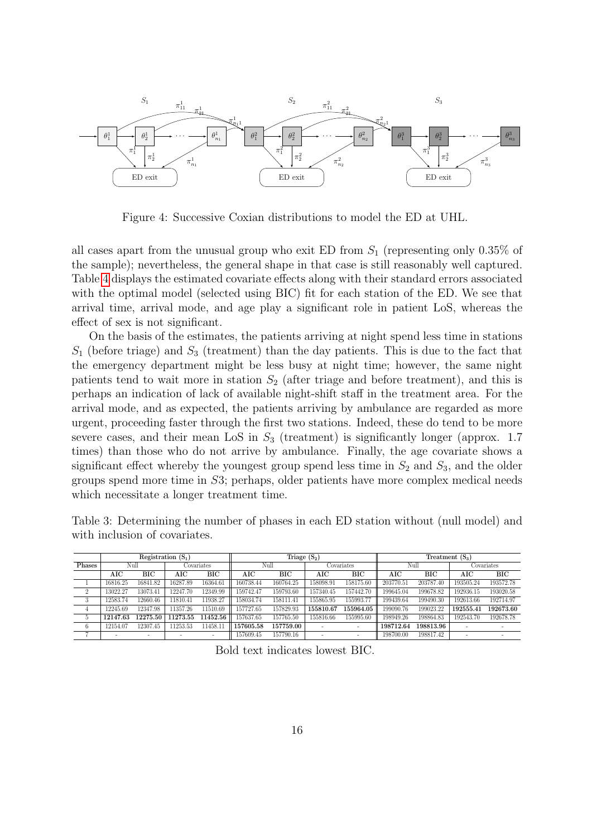<span id="page-15-0"></span>

Figure 4: Successive Coxian distributions to model the ED at UHL.

all cases apart from the unusual group who exit ED from  $S_1$  (representing only 0.35% of the sample); nevertheless, the general shape in that case is still reasonably well captured. Table [4](#page-16-0) displays the estimated covariate effects along with their standard errors associated with the optimal model (selected using BIC) fit for each station of the ED. We see that arrival time, arrival mode, and age play a significant role in patient LoS, whereas the effect of sex is not significant.

On the basis of the estimates, the patients arriving at night spend less time in stations  $S_1$  (before triage) and  $S_3$  (treatment) than the day patients. This is due to the fact that the emergency department might be less busy at night time; however, the same night patients tend to wait more in station  $S_2$  (after triage and before treatment), and this is perhaps an indication of lack of available night-shift staff in the treatment area. For the arrival mode, and as expected, the patients arriving by ambulance are regarded as more urgent, proceeding faster through the first two stations. Indeed, these do tend to be more severe cases, and their mean LoS in  $S_3$  (treatment) is significantly longer (approx. 1.7 times) than those who do not arrive by ambulance. Finally, the age covariate shows a significant effect whereby the youngest group spend less time in  $S_2$  and  $S_3$ , and the older groups spend more time in S3; perhaps, older patients have more complex medical needs which necessitate a longer treatment time.

<span id="page-15-1"></span>Table 3: Determining the number of phases in each ED station without (null model) and with inclusion of covariates.

|         | Registration $(S_1)$ |          |          |                          | Triage $(S_2)$ |           |           |                          | Treatment $(S_3)$ |           |           |            |  |
|---------|----------------------|----------|----------|--------------------------|----------------|-----------|-----------|--------------------------|-------------------|-----------|-----------|------------|--|
| Phases  | Null                 |          |          | Covariates               |                | Null      |           | Covariates               |                   | Null      |           | Covariates |  |
|         | AIC                  | BІC      | AIC      | BІC                      | AIC            | BІC       | AIC       | BІC                      | AIC               | BІC       | AIC       | BІC        |  |
|         | 16816.25             | 16841.82 | 16287.89 | 16364.61                 | 160738.44      | 160764.25 | 158098.91 | 158175.60                | 203770.51         | 203787.40 | 193505.24 | 193572.78  |  |
| ∠       | 13022.27             | 13073.41 | 12247.70 | 12349.99                 | 159742.47      | 159793.60 | 157340.45 | 157442.70                | 199645.04         | 199678.82 | 192936.15 | 193020.58  |  |
| $\cdot$ | 12583.74             | 12660.46 | 11810.41 | 11938.27                 | 158034.74      | 158111.41 | 155865.95 | 155993.77                | 199439.64         | 199490.30 | 192613.66 | 192714.97  |  |
| 4       | 12245.69             | 12347.98 | 11357.26 | 11510.69                 | 157727.65      | 157829.93 | 155810.67 | 155964.05                | 199090.76         | 199023.22 | 192555.41 | 192673.60  |  |
|         | 12147.63             | 12275.50 | 11273.55 | 11452.56                 | 157637.65      | 157765.50 | 155816.66 | 155995.60                | 198949.26         | 198864.83 | 192543.70 | 192678.78  |  |
|         | 12154.07             | 12307.45 | 11253.53 | 11458.11                 | 157605.58      | 157759.00 |           | $\overline{\phantom{a}}$ | 198712.64         | 198813.96 |           |            |  |
|         |                      |          |          | $\overline{\phantom{a}}$ | 157609.45      | 157790.16 | ۰         | $\sim$                   | 198700.00         | 198817.42 |           | $\sim$     |  |

Bold text indicates lowest BIC.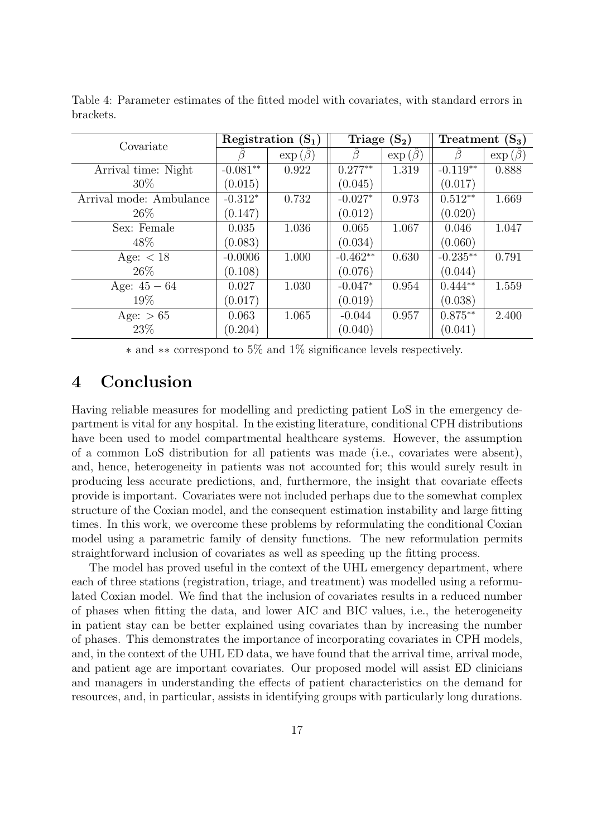| Covariate               |            | Registration $(S_1)$ | Triage $(S_2)$ |               | Treatment<br>$(\mathrm{S}_3)$ |               |  |
|-------------------------|------------|----------------------|----------------|---------------|-------------------------------|---------------|--|
|                         |            | $\exp(\beta)$        |                | $\exp(\beta)$ |                               | $\exp(\beta)$ |  |
| Arrival time: Night     | $-0.081**$ | 0.922                | $0.277**$      | 1.319         | $-0.119**$                    | 0.888         |  |
| 30\%                    | (0.015)    |                      | (0.045)        |               | (0.017)                       |               |  |
| Arrival mode: Ambulance | $-0.312*$  | 0.732                | $-0.027*$      | 0.973         | $0.512**$                     | 1.669         |  |
| $26\%$                  | (0.147)    |                      | (0.012)        |               | (0.020)                       |               |  |
| Sex: Female             | 0.035      | 1.036                | 0.065          | 1.067         | 0.046                         | 1.047         |  |
| 48\%                    | (0.083)    |                      | (0.034)        |               | (0.060)                       |               |  |
| Age: $<$ 18             | $-0.0006$  | 1.000                | $-0.462**$     | 0.630         | $-0.235**$                    | 0.791         |  |
| $26\%$                  | (0.108)    |                      | (0.076)        |               | (0.044)                       |               |  |
| Age: $45 - 64$          | 0.027      | 1.030                | $-0.047*$      | 0.954         | $0.444**$                     | 1.559         |  |
| 19%                     | (0.017)    |                      | (0.019)        |               | (0.038)                       |               |  |
| Age: $> 65$             | 0.063      | 1.065                | $-0.044$       | 0.957         | $0.875**$                     | 2.400         |  |
| 23\%                    | (0.204)    |                      | (0.040)        |               | (0.041)                       |               |  |

<span id="page-16-0"></span>Table 4: Parameter estimates of the fitted model with covariates, with standard errors in brackets.

∗ and ∗∗ correspond to 5% and 1% significance levels respectively.

## 4 Conclusion

Having reliable measures for modelling and predicting patient LoS in the emergency department is vital for any hospital. In the existing literature, conditional CPH distributions have been used to model compartmental healthcare systems. However, the assumption of a common LoS distribution for all patients was made (i.e., covariates were absent), and, hence, heterogeneity in patients was not accounted for; this would surely result in producing less accurate predictions, and, furthermore, the insight that covariate effects provide is important. Covariates were not included perhaps due to the somewhat complex structure of the Coxian model, and the consequent estimation instability and large fitting times. In this work, we overcome these problems by reformulating the conditional Coxian model using a parametric family of density functions. The new reformulation permits straightforward inclusion of covariates as well as speeding up the fitting process.

The model has proved useful in the context of the UHL emergency department, where each of three stations (registration, triage, and treatment) was modelled using a reformulated Coxian model. We find that the inclusion of covariates results in a reduced number of phases when fitting the data, and lower AIC and BIC values, i.e., the heterogeneity in patient stay can be better explained using covariates than by increasing the number of phases. This demonstrates the importance of incorporating covariates in CPH models, and, in the context of the UHL ED data, we have found that the arrival time, arrival mode, and patient age are important covariates. Our proposed model will assist ED clinicians and managers in understanding the effects of patient characteristics on the demand for resources, and, in particular, assists in identifying groups with particularly long durations.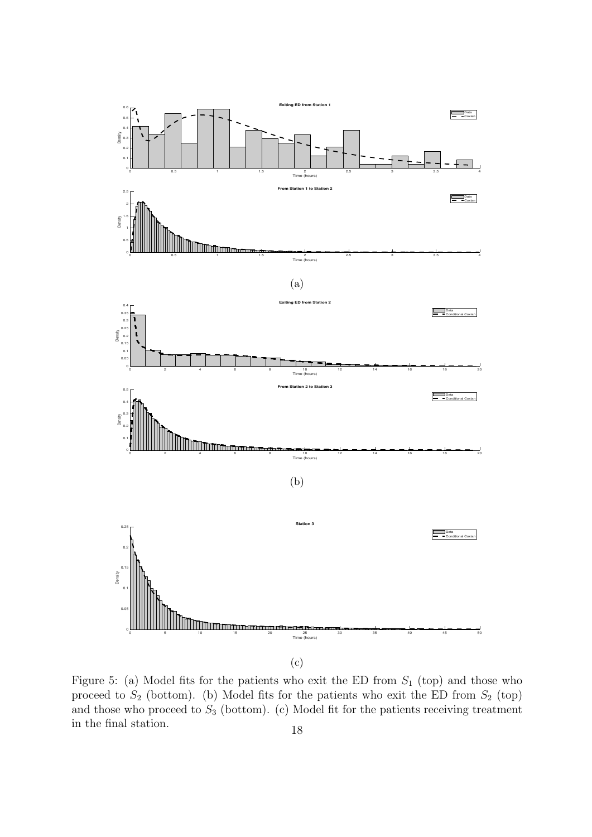<span id="page-17-0"></span>

Figure 5: (a) Model fits for the patients who exit the ED from  $S_1$  (top) and those who proceed to  $S_2$  (bottom). (b) Model fits for the patients who exit the ED from  $S_2$  (top) and those who proceed to  $S_3$  (bottom). (c) Model fit for the patients receiving treatment in the final station. 18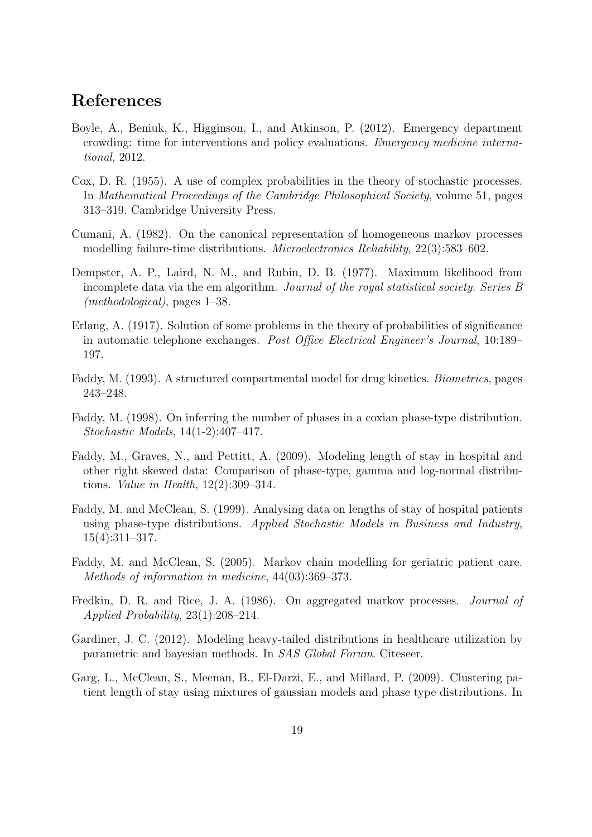## References

- <span id="page-18-0"></span>Boyle, A., Beniuk, K., Higginson, I., and Atkinson, P. (2012). Emergency department crowding: time for interventions and policy evaluations. Emergency medicine international, 2012.
- <span id="page-18-1"></span>Cox, D. R. (1955). A use of complex probabilities in the theory of stochastic processes. In Mathematical Proceedings of the Cambridge Philosophical Society, volume 51, pages 313–319. Cambridge University Press.
- <span id="page-18-6"></span>Cumani, A. (1982). On the canonical representation of homogeneous markov processes modelling failure-time distributions. Microelectronics Reliability, 22(3):583–602.
- <span id="page-18-8"></span>Dempster, A. P., Laird, N. M., and Rubin, D. B. (1977). Maximum likelihood from incomplete data via the em algorithm. Journal of the royal statistical society. Series B (methodological), pages 1–38.
- <span id="page-18-10"></span>Erlang, A. (1917). Solution of some problems in the theory of probabilities of significance in automatic telephone exchanges. Post Office Electrical Engineer's Journal, 10:189– 197.
- <span id="page-18-5"></span>Faddy, M. (1993). A structured compartmental model for drug kinetics. Biometrics, pages 243–248.
- <span id="page-18-9"></span>Faddy, M. (1998). On inferring the number of phases in a coxian phase-type distribution. Stochastic Models, 14(1-2):407–417.
- <span id="page-18-7"></span>Faddy, M., Graves, N., and Pettitt, A. (2009). Modeling length of stay in hospital and other right skewed data: Comparison of phase-type, gamma and log-normal distributions. Value in Health, 12(2):309–314.
- <span id="page-18-2"></span>Faddy, M. and McClean, S. (1999). Analysing data on lengths of stay of hospital patients using phase-type distributions. Applied Stochastic Models in Business and Industry, 15(4):311–317.
- <span id="page-18-3"></span>Faddy, M. and McClean, S. (2005). Markov chain modelling for geriatric patient care. Methods of information in medicine, 44(03):369–373.
- <span id="page-18-12"></span>Fredkin, D. R. and Rice, J. A. (1986). On aggregated markov processes. Journal of Applied Probability, 23(1):208–214.
- <span id="page-18-4"></span>Gardiner, J. C. (2012). Modeling heavy-tailed distributions in healthcare utilization by parametric and bayesian methods. In SAS Global Forum. Citeseer.
- <span id="page-18-11"></span>Garg, L., McClean, S., Meenan, B., El-Darzi, E., and Millard, P. (2009). Clustering patient length of stay using mixtures of gaussian models and phase type distributions. In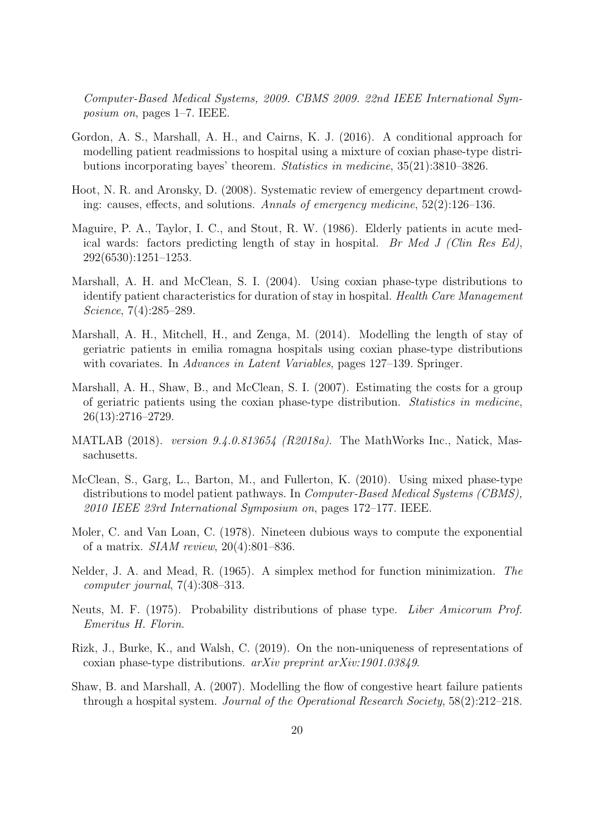Computer-Based Medical Systems, 2009. CBMS 2009. 22nd IEEE International Symposium on, pages 1–7. IEEE.

- <span id="page-19-8"></span>Gordon, A. S., Marshall, A. H., and Cairns, K. J. (2016). A conditional approach for modelling patient readmissions to hospital using a mixture of coxian phase-type distributions incorporating bayes' theorem. Statistics in medicine, 35(21):3810–3826.
- <span id="page-19-0"></span>Hoot, N. R. and Aronsky, D. (2008). Systematic review of emergency department crowding: causes, effects, and solutions. Annals of emergency medicine, 52(2):126–136.
- <span id="page-19-5"></span>Maguire, P. A., Taylor, I. C., and Stout, R. W. (1986). Elderly patients in acute medical wards: factors predicting length of stay in hospital. Br Med J (Clin Res Ed), 292(6530):1251–1253.
- <span id="page-19-2"></span>Marshall, A. H. and McClean, S. I. (2004). Using coxian phase-type distributions to identify patient characteristics for duration of stay in hospital. Health Care Management Science, 7(4):285–289.
- <span id="page-19-7"></span>Marshall, A. H., Mitchell, H., and Zenga, M. (2014). Modelling the length of stay of geriatric patients in emilia romagna hospitals using coxian phase-type distributions with covariates. In *Advances in Latent Variables*, pages 127–139. Springer.
- <span id="page-19-4"></span>Marshall, A. H., Shaw, B., and McClean, S. I. (2007). Estimating the costs for a group of geriatric patients using the coxian phase-type distribution. Statistics in medicine, 26(13):2716–2729.
- <span id="page-19-12"></span>MATLAB (2018). version 9.4.0.813654 (R2018a). The MathWorks Inc., Natick, Massachusetts.
- <span id="page-19-11"></span>McClean, S., Garg, L., Barton, M., and Fullerton, K. (2010). Using mixed phase-type distributions to model patient pathways. In *Computer-Based Medical Systems (CBMS)*, 2010 IEEE 23rd International Symposium on, pages 172–177. IEEE.
- <span id="page-19-10"></span>Moler, C. and Van Loan, C. (1978). Nineteen dubious ways to compute the exponential of a matrix. SIAM review, 20(4):801–836.
- <span id="page-19-9"></span>Nelder, J. A. and Mead, R. (1965). A simplex method for function minimization. The computer journal, 7(4):308–313.
- <span id="page-19-1"></span>Neuts, M. F. (1975). Probability distributions of phase type. Liber Amicorum Prof. Emeritus H. Florin.
- <span id="page-19-6"></span>Rizk, J., Burke, K., and Walsh, C. (2019). On the non-uniqueness of representations of coxian phase-type distributions. arXiv preprint arXiv:1901.03849.
- <span id="page-19-3"></span>Shaw, B. and Marshall, A. (2007). Modelling the flow of congestive heart failure patients through a hospital system. Journal of the Operational Research Society, 58(2):212–218.